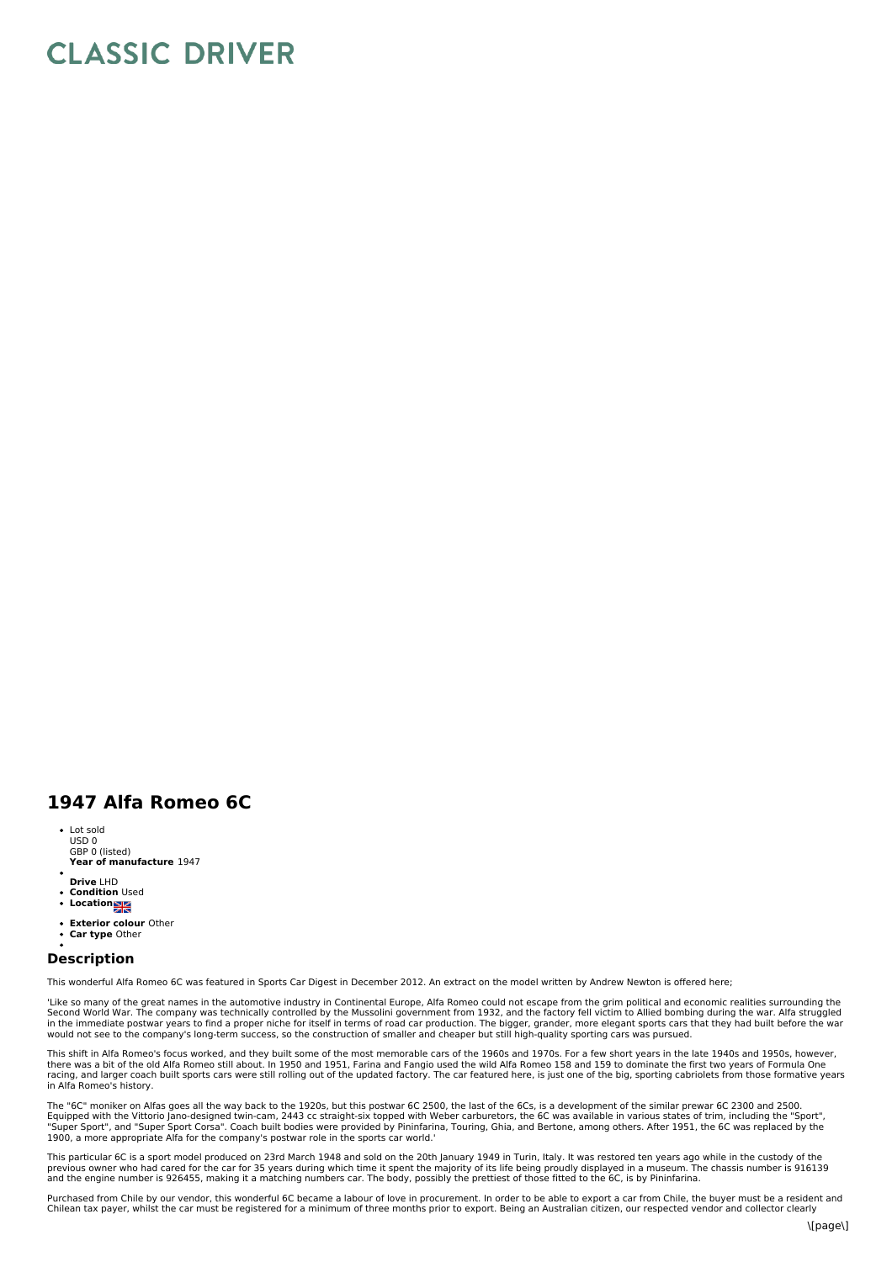## **CLASSIC DRIVER**

## **1947 Alfa Romeo 6C**

- **Year of manufacture** 1947 Lot sold USD 0 GBP 0 (listed)
- **Drive** LHD
- **Condition** Used
- **Location**
- 
- $\ddot{\cdot}$ **Exterior colour** Other **Car type** Other

## **Description**

This wonderful Alfa Romeo 6C was featured in Sports Car Digest in December 2012. An extract on the model written by Andrew Newton is offered here:

'Like so many of the great names in the automotive industry in Continental Europe, Alfa Romeo could not escape from the grim political and economic realities surrounding the Second World War. The company was technically controlled by the Mussolini government from 1932, and the factory fell victim to Allied bombing during the war. Alfa struggled<br>in the immediate postwar years to find a proper n

This shift in Alfa Romeo's focus worked, and they built some of the most memorable cars of the 1960s and 1970s. For a few short years in the late 1940s and 1950s, however,<br>there was a bit of the old Alfa Romeo still about. racing, and larger coach built sports cars were still rolling out of the updated factory. The car featured here, is just one of the big, sporting cabriolets from those formative years in Alfa Romeo's history.

The "6C" moniker on Alfas goes all the way back to the 1920s, but this postwar 6C 2500, the last of the 6Cs, is a development of the similar prewar 6C 2300 and 2500.<br>Equipped with the Vittorio Jano-designed twin-cam, 2443

This particular 6C is a sport model produced on 23rd March 1948 and sold on the 20th January 1949 in Turin, Italy. It was restored ten years ago while in the custody of the<br>previous owner who had cared for the car for 35 y

Purchased from Chile by our vendor, this wonderful 6C became a labour of love in procurement. In order to be able to export a car from Chile, the buyer must be a resident and Chilean tax payer, whilst the car must be registered for a minimum of three months prior to export. Being an Australian citizen, our respected vendor and collector clearly